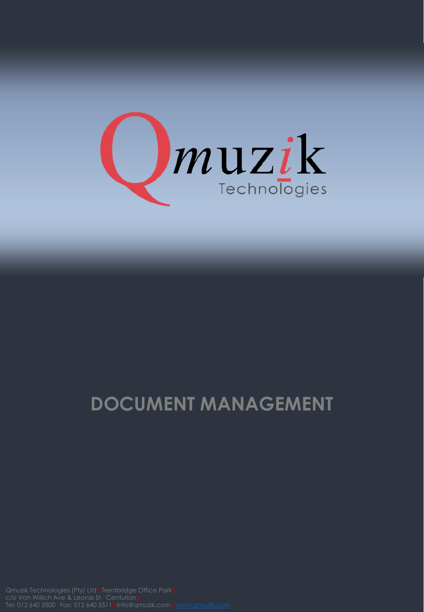

## **DOCUMENT MANAGEMENT**